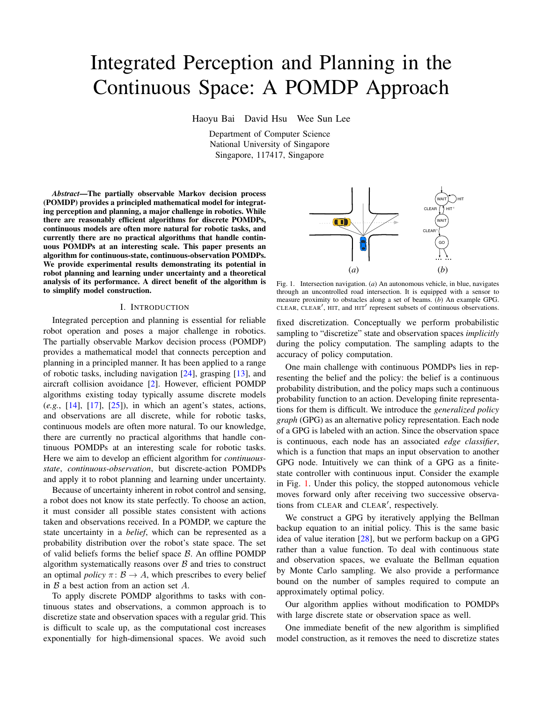# Integrated Perception and Planning in the Continuous Space: A POMDP Approach

Haoyu Bai David Hsu Wee Sun Lee

Department of Computer Science National University of Singapore Singapore, 117417, Singapore

*Abstract*—The partially observable Markov decision process (POMDP) provides a principled mathematical model for integrating perception and planning, a major challenge in robotics. While there are reasonably efficient algorithms for discrete POMDPs, continuous models are often more natural for robotic tasks, and currently there are no practical algorithms that handle continuous POMDPs at an interesting scale. This paper presents an algorithm for continuous-state, continuous-observation POMDPs. We provide experimental results demonstrating its potential in robot planning and learning under uncertainty and a theoretical analysis of its performance. A direct benefit of the algorithm is to simplify model construction.

# I. INTRODUCTION

Integrated perception and planning is essential for reliable robot operation and poses a major challenge in robotics. The partially observable Markov decision process (POMDP) provides a mathematical model that connects perception and planning in a principled manner. It has been applied to a range of robotic tasks, including navigation [\[24\]](#page-7-0), grasping [\[13\]](#page-7-1), and aircraft collision avoidance [\[2\]](#page-7-2). However, efficient POMDP algorithms existing today typically assume discrete models (*e.g.*, [\[14\]](#page-7-3), [\[17\]](#page-7-4), [\[25\]](#page-7-5)), in which an agent's states, actions, and observations are all discrete, while for robotic tasks, continuous models are often more natural. To our knowledge, there are currently no practical algorithms that handle continuous POMDPs at an interesting scale for robotic tasks. Here we aim to develop an efficient algorithm for *continuousstate*, *continuous-observation*, but discrete-action POMDPs and apply it to robot planning and learning under uncertainty.

Because of uncertainty inherent in robot control and sensing, a robot does not know its state perfectly. To choose an action, it must consider all possible states consistent with actions taken and observations received. In a POMDP, we capture the state uncertainty in a *belief*, which can be represented as a probability distribution over the robot's state space. The set of valid beliefs forms the belief space  $\beta$ . An offline POMDP algorithm systematically reasons over  $\beta$  and tries to construct an optimal *policy*  $\pi: \mathcal{B} \to A$ , which prescribes to every belief in  $\beta$  a best action from an action set  $A$ .

To apply discrete POMDP algorithms to tasks with continuous states and observations, a common approach is to discretize state and observation spaces with a regular grid. This is difficult to scale up, as the computational cost increases exponentially for high-dimensional spaces. We avoid such

<span id="page-0-0"></span>

Fig. 1. Intersection navigation. (*a*) An autonomous vehicle, in blue, navigates through an uncontrolled road intersection. It is equipped with a sensor to measure proximity to obstacles along a set of beams. (*b*) An example GPG. CLEAR, CLEAR', HIT, and HIT' represent subsets of continuous observations.

fixed discretization. Conceptually we perform probabilistic sampling to "discretize" state and observation spaces *implicitly* during the policy computation. The sampling adapts to the accuracy of policy computation.

One main challenge with continuous POMDPs lies in representing the belief and the policy: the belief is a continuous probability distribution, and the policy maps such a continuous probability function to an action. Developing finite representations for them is difficult. We introduce the *generalized policy graph* (GPG) as an alternative policy representation. Each node of a GPG is labeled with an action. Since the observation space is continuous, each node has an associated *edge classifier*, which is a function that maps an input observation to another GPG node. Intuitively we can think of a GPG as a finitestate controller with continuous input. Consider the example in Fig. [1.](#page-0-0) Under this policy, the stopped autonomous vehicle moves forward only after receiving two successive observations from CLEAR and CLEAR', respectively.

We construct a GPG by iteratively applying the Bellman backup equation to an initial policy. This is the same basic idea of value iteration [\[28\]](#page-7-6), but we perform backup on a GPG rather than a value function. To deal with continuous state and observation spaces, we evaluate the Bellman equation by Monte Carlo sampling. We also provide a performance bound on the number of samples required to compute an approximately optimal policy.

Our algorithm applies without modification to POMDPs with large discrete state or observation space as well.

One immediate benefit of the new algorithm is simplified model construction, as it removes the need to discretize states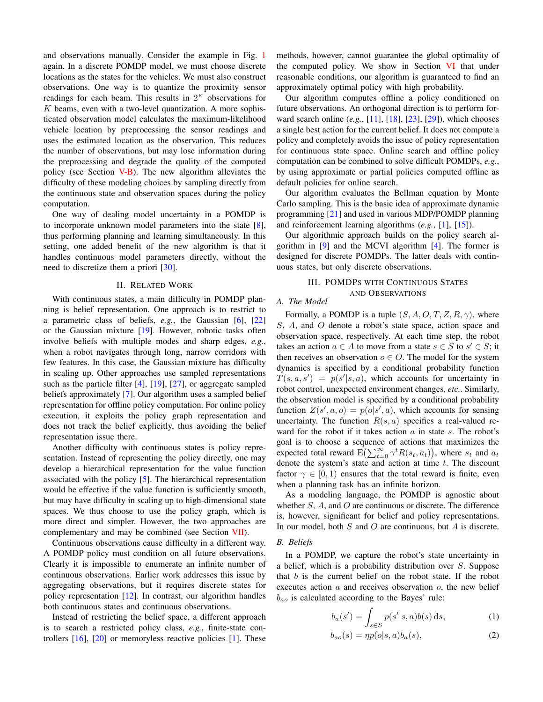and observations manually. Consider the example in Fig. [1](#page-0-0) again. In a discrete POMDP model, we must choose discrete locations as the states for the vehicles. We must also construct observations. One way is to quantize the proximity sensor readings for each beam. This results in  $2<sup>K</sup>$  observations for  $K$  beams, even with a two-level quantization. A more sophisticated observation model calculates the maximum-likelihood vehicle location by preprocessing the sensor readings and uses the estimated location as the observation. This reduces the number of observations, but may lose information during the preprocessing and degrade the quality of the computed policy (see Section  $V-B$ ). The new algorithm alleviates the difficulty of these modeling choices by sampling directly from the continuous state and observation spaces during the policy computation.

One way of dealing model uncertainty in a POMDP is to incorporate unknown model parameters into the state [\[8\]](#page-7-7), thus performing planning and learning simultaneously. In this setting, one added benefit of the new algorithm is that it handles continuous model parameters directly, without the need to discretize them a priori [\[30\]](#page-7-8).

#### II. RELATED WORK

With continuous states, a main difficulty in POMDP planning is belief representation. One approach is to restrict to a parametric class of beliefs, *e.g.*, the Gaussian [\[6\]](#page-7-9), [\[22\]](#page-7-10) or the Gaussian mixture [\[19\]](#page-7-11). However, robotic tasks often involve beliefs with multiple modes and sharp edges, *e.g.*, when a robot navigates through long, narrow corridors with few features. In this case, the Gaussian mixture has difficulty in scaling up. Other approaches use sampled representations such as the particle filter [\[4\]](#page-7-12), [\[19\]](#page-7-11), [\[27\]](#page-7-13), or aggregate sampled beliefs approximately [\[7\]](#page-7-14). Our algorithm uses a sampled belief representation for offline policy computation. For online policy execution, it exploits the policy graph representation and does not track the belief explicitly, thus avoiding the belief representation issue there.

Another difficulty with continuous states is policy representation. Instead of representing the policy directly, one may develop a hierarchical representation for the value function associated with the policy [\[5\]](#page-7-15). The hierarchical representation would be effective if the value function is sufficiently smooth, but may have difficulty in scaling up to high-dimensional state spaces. We thus choose to use the policy graph, which is more direct and simpler. However, the two approaches are complementary and may be combined (see Section [VII\)](#page-7-16).

Continuous observations cause difficulty in a different way. A POMDP policy must condition on all future observations. Clearly it is impossible to enumerate an infinite number of continuous observations. Earlier work addresses this issue by aggregating observations, but it requires discrete states for policy representation [\[12\]](#page-7-17). In contrast, our algorithm handles both continuous states and continuous observations.

Instead of restricting the belief space, a different approach is to search a restricted policy class, *e.g.*, finite-state controllers [\[16\]](#page-7-18), [\[20\]](#page-7-19) or memoryless reactive policies [\[1\]](#page-7-20). These methods, however, cannot guarantee the global optimality of the computed policy. We show in Section [VI](#page-5-0) that under reasonable conditions, our algorithm is guaranteed to find an approximately optimal policy with high probability.

Our algorithm computes offline a policy conditioned on future observations. An orthogonal direction is to perform forward search online (*e.g.*, [\[11\]](#page-7-21), [\[18\]](#page-7-22), [\[23\]](#page-7-23), [\[29\]](#page-7-24)), which chooses a single best action for the current belief. It does not compute a policy and completely avoids the issue of policy representation for continuous state space. Online search and offline policy computation can be combined to solve difficult POMDPs, *e.g.*, by using approximate or partial policies computed offline as default policies for online search.

Our algorithm evaluates the Bellman equation by Monte Carlo sampling. This is the basic idea of approximate dynamic programming [\[21\]](#page-7-25) and used in various MDP/POMDP planning and reinforcement learning algorithms (*e.g.*, [\[1\]](#page-7-20), [\[15\]](#page-7-26)).

Our algorithmic approach builds on the policy search algorithm in [\[9\]](#page-7-27) and the MCVI algorithm [\[4\]](#page-7-12). The former is designed for discrete POMDPs. The latter deals with continuous states, but only discrete observations.

# III. POMDPS WITH CONTINUOUS STATES AND OBSERVATIONS

# *A. The Model*

Formally, a POMDP is a tuple  $(S, A, O, T, Z, R, \gamma)$ , where S, A, and O denote a robot's state space, action space and observation space, respectively. At each time step, the robot takes an action  $a \in A$  to move from a state  $s \in S$  to  $s' \in S$ ; it then receives an observation  $o \in O$ . The model for the system dynamics is specified by a conditional probability function  $T(s, a, s') = p(s'|s, a)$ , which accounts for uncertainty in robot control, unexpected environment changes, *etc.*. Similarly, the observation model is specified by a conditional probability function  $Z(s', a, o) = p(o|s', a)$ , which accounts for sensing uncertainty. The function  $R(s, a)$  specifies a real-valued reward for the robot if it takes action  $a$  in state  $s$ . The robot's goal is to choose a sequence of actions that maximizes the expected total reward  $\mathbb{E}(\sum_{t=0}^{\infty} \gamma^t R(s_t, a_t)),$  where  $s_t$  and  $a_t$ denote the system's state and action at time  $t$ . The discount factor  $\gamma \in [0, 1)$  ensures that the total reward is finite, even when a planning task has an infinite horizon.

As a modeling language, the POMDP is agnostic about whether  $S$ ,  $A$ , and  $O$  are continuous or discrete. The difference is, however, significant for belief and policy representations. In our model, both  $S$  and  $O$  are continuous, but  $A$  is discrete.

# *B. Beliefs*

In a POMDP, we capture the robot's state uncertainty in a belief, which is a probability distribution over S. Suppose that  $b$  is the current belief on the robot state. If the robot executes action  $a$  and receives observation  $o$ , the new belief  $b_{ao}$  is calculated according to the Bayes' rule:

<span id="page-1-1"></span><span id="page-1-0"></span>
$$
b_a(s') = \int_{s \in S} p(s'|s, a)b(s) \,ds,\tag{1}
$$

$$
b_{ao}(s) = \eta p(o|s, a) b_a(s), \tag{2}
$$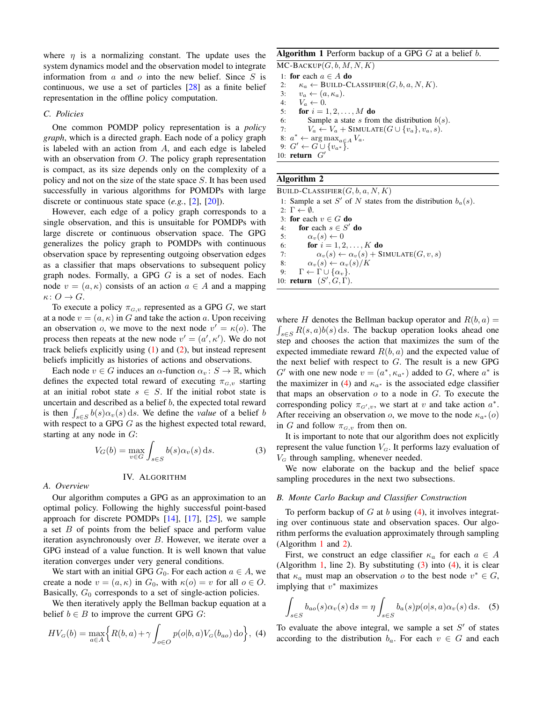where  $\eta$  is a normalizing constant. The update uses the system dynamics model and the observation model to integrate information from  $a$  and  $o$  into the new belief. Since  $S$  is continuous, we use a set of particles [\[28\]](#page-7-6) as a finite belief representation in the offline policy computation.

## *C. Policies*

One common POMDP policy representation is a *policy graph*, which is a directed graph. Each node of a policy graph is labeled with an action from A, and each edge is labeled with an observation from  $O$ . The policy graph representation is compact, as its size depends only on the complexity of a policy and not on the size of the state space S. It has been used successfully in various algorithms for POMDPs with large discrete or continuous state space (*e.g.*, [\[2\]](#page-7-2), [\[20\]](#page-7-19)).

However, each edge of a policy graph corresponds to a single observation, and this is unsuitable for POMDPs with large discrete or continuous observation space. The GPG generalizes the policy graph to POMDPs with continuous observation space by representing outgoing observation edges as a classifier that maps observations to subsequent policy graph nodes. Formally, a GPG G is a set of nodes. Each node  $v = (a, \kappa)$  consists of an action  $a \in A$  and a mapping  $\kappa\colon O\to G.$ 

To execute a policy  $\pi_{G,v}$  represented as a GPG G, we start at a node  $v = (a, \kappa)$  in G and take the action a. Upon receiving an observation *o*, we move to the next node  $v' = \kappa(o)$ . The process then repeats at the new node  $v' = (a', \kappa')$ . We do not track beliefs explicitly using  $(1)$  and  $(2)$ , but instead represent beliefs implicitly as histories of actions and observations.

Each node  $v \in G$  induces an  $\alpha$ -function  $\alpha_v : S \to \mathbb{R}$ , which defines the expected total reward of executing  $\pi_{G,v}$  starting at an initial robot state  $s \in S$ . If the initial robot state is uncertain and described as a belief  $b$ , the expected total reward is then  $\int_{s \in S} b(s) \alpha_v(s) ds$ . We define the *value* of a belief b with respect to a GPG  $G$  as the highest expected total reward, starting at any node in  $G$ :

<span id="page-2-3"></span>
$$
V_G(b) = \max_{v \in G} \int_{s \in S} b(s) \alpha_v(s) \, ds. \tag{3}
$$

# IV. ALGORITHM

# *A. Overview*

Our algorithm computes a GPG as an approximation to an optimal policy. Following the highly successful point-based approach for discrete POMDPs  $[14]$ ,  $[17]$ ,  $[25]$ , we sample a set B of points from the belief space and perform value iteration asynchronously over B. However, we iterate over a GPG instead of a value function. It is well known that value iteration converges under very general conditions.

We start with an initial GPG  $G_0$ . For each action  $a \in A$ , we create a node  $v = (a, \kappa)$  in  $G_0$ , with  $\kappa(o) = v$  for all  $o \in O$ . Basically,  $G_0$  corresponds to a set of single-action policies.

We then iteratively apply the Bellman backup equation at a belief  $b \in B$  to improve the current GPG G:

$$
HV_G(b) = \max_{a \in A} \left\{ R(b,a) + \gamma \int_{o \in O} p(o|b,a)V_G(b_{ao}) \, \mathrm{d}o \right\}, \tag{4}
$$

# Algorithm 1 Perform backup of a GPG  $G$  at a belief  $b$ .

<span id="page-2-1"></span> $MC$ -BACKUP $(G, b, M, N, K)$ 1: for each  $a \in A$  do

2:  $\kappa_a \leftarrow \text{BULL-CLASSIFIER}(G, b, a, N, K).$ 

3:  $v_a \leftarrow (a, \kappa_a).$ 

- 4:  $V_a \leftarrow 0$ .
- 5: **for**  $i = 1, 2, ..., M$  **do**

6: Sample a state s from the distribution  $b(s)$ .

7:  $V_a \leftarrow V_a + \text{SIMULATE}(G \cup \{v_a\}, v_a, s).$ 

8:  $a^* \leftarrow \arg \max_{a \in A} V_a$ .

9:  $G' \leftarrow \widetilde{G} \cup \{v_{a^*}\}.$ 

10:  $return G'$ 

# Algorithm 2

<span id="page-2-2"></span>BUILD-CLASSIFIER $(G, b, a, N, K)$ 1: Sample a set S' of N states from the distribution  $b_a(s)$ . 2:  $\Gamma \leftarrow \emptyset$ . 3: for each  $v \in G$  do 4: for each  $s \in S'$  do 5:  $\alpha_v(s) \leftarrow 0$ 6: **for**  $i = 1, 2, ..., K$  **do** 7:  $\alpha_v(s) \leftarrow \alpha_v(s) + \text{SIMULATE}(G, v, s)$ 8:  $\alpha_v(s) \leftarrow \alpha_v(s)/K$ 9:  $\Gamma \leftarrow \Gamma \cup \{\alpha_v\}.$ 10: **return**  $(S', \tilde{G}, \tilde{\Gamma})$ .

where H denotes the Bellman backup operator and  $R(b, a) =$  $\int_{s \in S} R(s, a) b(s) ds$ . The backup operation looks ahead one step and chooses the action that maximizes the sum of the expected immediate reward  $R(b, a)$  and the expected value of the next belief with respect to  $G$ . The result is a new GPG G' with one new node  $v = (a^*, \kappa_{a^*})$  added to G, where  $a^*$  is the maximizer in [\(4\)](#page-2-0) and  $\kappa_{a^*}$  is the associated edge classifier that maps an observation  $o$  to a node in  $G$ . To execute the corresponding policy  $\pi_{G',v}$ , we start at v and take action  $a^*$ . After receiving an observation o, we move to the node  $\kappa_{a*}(o)$ in G and follow  $\pi_{G,v}$  from then on.

It is important to note that our algorithm does not explicitly represent the value function  $V_G$ . It performs lazy evaluation of  $V<sub>G</sub>$  through sampling, whenever needed.

We now elaborate on the backup and the belief space sampling procedures in the next two subsections.

## *B. Monte Carlo Backup and Classifier Construction*

To perform backup of  $G$  at  $b$  using [\(4\)](#page-2-0), it involves integrating over continuous state and observation spaces. Our algorithm performs the evaluation approximately through sampling (Algorithm [1](#page-2-1) and [2\)](#page-2-2).

First, we construct an edge classifier  $\kappa_a$  for each  $a \in A$ (Algorithm [1,](#page-2-1) line 2). By substituting  $(3)$  into  $(4)$ , it is clear that  $\kappa_a$  must map an observation *o* to the best node  $v^* \in G$ , implying that  $v^*$  maximizes

<span id="page-2-4"></span>
$$
\int_{s \in S} b_{ao}(s) \alpha_v(s) \, ds = \eta \int_{s \in S} b_a(s) p(o|s, a) \alpha_v(s) \, ds. \tag{5}
$$

<span id="page-2-0"></span>To evaluate the above integral, we sample a set  $S'$  of states according to the distribution  $b_a$ . For each  $v \in G$  and each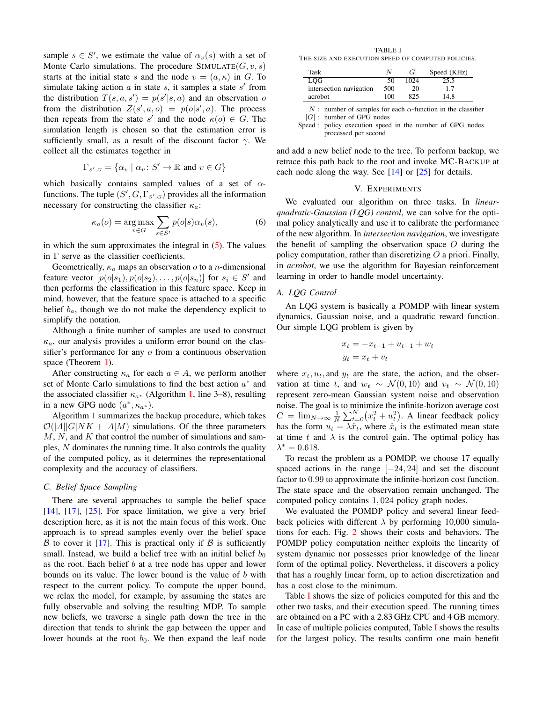sample  $s \in S'$ , we estimate the value of  $\alpha_v(s)$  with a set of Monte Carlo simulations. The procedure  $SIMULATE(G, v, s)$ starts at the initial state s and the node  $v = (a, \kappa)$  in G. To simulate taking action  $a$  in state  $s$ , it samples a state  $s'$  from the distribution  $T(s, a, s') = p(s'|s, a)$  and an observation o from the distribution  $Z(s', a, o) = p(o|s', a)$ . The process then repeats from the state s' and the node  $\kappa(o) \in G$ . The simulation length is chosen so that the estimation error is sufficiently small, as a result of the discount factor  $\gamma$ . We collect all the estimates together in

$$
\Gamma_{S',G} = \{ \alpha_v \mid \alpha_v \colon S' \to \mathbb{R} \text{ and } v \in G \}
$$

which basically contains sampled values of a set of  $\alpha$ functions. The tuple  $(S', G, \Gamma_{s', G})$  provides all the information necessary for constructing the classifier  $\kappa_a$ :

$$
\kappa_a(o) = \underset{v \in G}{\text{arg}\max} \sum_{s \in S'} p(o|s) \alpha_v(s), \tag{6}
$$

in which the sum approximates the integral in  $(5)$ . The values in  $\Gamma$  serve as the classifier coefficients.

Geometrically,  $\kappa_a$  maps an observation  $o$  to a *n*-dimensional feature vector  $[p(o|s_1), p(o|s_2), \ldots, p(o|s_n)]$  for  $s_i \in S'$  and then performs the classification in this feature space. Keep in mind, however, that the feature space is attached to a specific belief  $b_a$ , though we do not make the dependency explicit to simplify the notation.

Although a finite number of samples are used to construct  $\kappa_a$ , our analysis provides a uniform error bound on the classifier's performance for any  $\sigma$  from a continuous observation space (Theorem [1\)](#page-6-0).

After constructing  $\kappa_a$  for each  $a \in A$ , we perform another set of Monte Carlo simulations to find the best action  $a^*$  and the associated classifier  $\kappa_{a^*}$  (Algorithm [1,](#page-2-1) line 3–8), resulting in a new GPG node  $(a^*, \kappa_{a^*})$ .

Algorithm [1](#page-2-1) summarizes the backup procedure, which takes  $O(|A||G|NK + |A|M)$  simulations. Of the three parameters  $M, N$ , and  $K$  that control the number of simulations and samples, N dominates the running time. It also controls the quality of the computed policy, as it determines the representational complexity and the accuracy of classifiers.

# *C. Belief Space Sampling*

There are several approaches to sample the belief space [\[14\]](#page-7-3), [\[17\]](#page-7-4), [\[25\]](#page-7-5). For space limitation, we give a very brief description here, as it is not the main focus of this work. One approach is to spread samples evenly over the belief space B to cover it [\[17\]](#page-7-4). This is practical only if B is sufficiently small. Instead, we build a belief tree with an initial belief  $b_0$ as the root. Each belief  $b$  at a tree node has upper and lower bounds on its value. The lower bound is the value of b with respect to the current policy. To compute the upper bound, we relax the model, for example, by assuming the states are fully observable and solving the resulting MDP. To sample new beliefs, we traverse a single path down the tree in the direction that tends to shrink the gap between the upper and lower bounds at the root  $b_0$ . We then expand the leaf node

<span id="page-3-0"></span>TABLE I THE SIZE AND EXECUTION SPEED OF COMPUTED POLICIES.

| Task                    |     | G    | Speed (KHz) |
|-------------------------|-----|------|-------------|
| LOG                     | 50  | 1024 | 25.5        |
| intersection navigation | 500 | 20   | 17          |
| acrobot                 | 100 | 825  | 14.8        |

 $N$ : number of samples for each  $\alpha$ -function in the classifier

 $|G|$ : number of GPG nodes

Speed : policy execution speed in the number of GPG nodes processed per second

and add a new belief node to the tree. To perform backup, we retrace this path back to the root and invoke MC-BACKUP at each node along the way. See  $[14]$  or  $[25]$  for details.

# V. EXPERIMENTS

<span id="page-3-1"></span>We evaluated our algorithm on three tasks. In *linearquadratic-Gaussian (LQG) control*, we can solve for the optimal policy analytically and use it to calibrate the performance of the new algorithm. In *intersection navigation*, we investigate the benefit of sampling the observation space  $O$  during the policy computation, rather than discretizing  $O$  a priori. Finally, in *acrobot*, we use the algorithm for Bayesian reinforcement learning in order to handle model uncertainty.

# *A. LQG Control*

An LQG system is basically a POMDP with linear system dynamics, Gaussian noise, and a quadratic reward function. Our simple LQG problem is given by

$$
x_t = -x_{t-1} + u_{t-1} + w_t
$$

$$
y_t = x_t + v_t
$$

where  $x_t$ ,  $u_t$ , and  $y_t$  are the state, the action, and the observation at time t, and  $w_t \sim \mathcal{N}(0, 10)$  and  $v_t \sim \mathcal{N}(0, 10)$ represent zero-mean Gaussian system noise and observation noise. The goal is to minimize the infinite-horizon average cost  $C = \lim_{N \to \infty} \frac{1}{N} \sum_{t=0}^{N} (x_t^2 + u_t^2)$ . A linear feedback policy has the form  $u_t = \lambda \hat{x}_t$ , where  $\hat{x}_t$  is the estimated mean state at time t and  $\lambda$  is the control gain. The optimal policy has  $\lambda^* = 0.618.$ 

To recast the problem as a POMDP, we choose 17 equally spaced actions in the range  $[-24, 24]$  and set the discount factor to 0.99 to approximate the infinite-horizon cost function. The state space and the observation remain unchanged. The computed policy contains 1, 024 policy graph nodes.

We evaluated the POMDP policy and several linear feedback policies with different  $\lambda$  by performing 10,000 simulations for each. Fig. [2](#page-4-1) shows their costs and behaviors. The POMDP policy computation neither exploits the linearity of system dynamic nor possesses prior knowledge of the linear form of the optimal policy. Nevertheless, it discovers a policy that has a roughly linear form, up to action discretization and has a cost close to the minimum.

Table [I](#page-3-0) shows the size of policies computed for this and the other two tasks, and their execution speed. The running times are obtained on a PC with a 2.83 GHz CPU and 4 GB memory. In case of multiple policies computed, Table [I](#page-3-0) shows the results for the largest policy. The results confirm one main benefit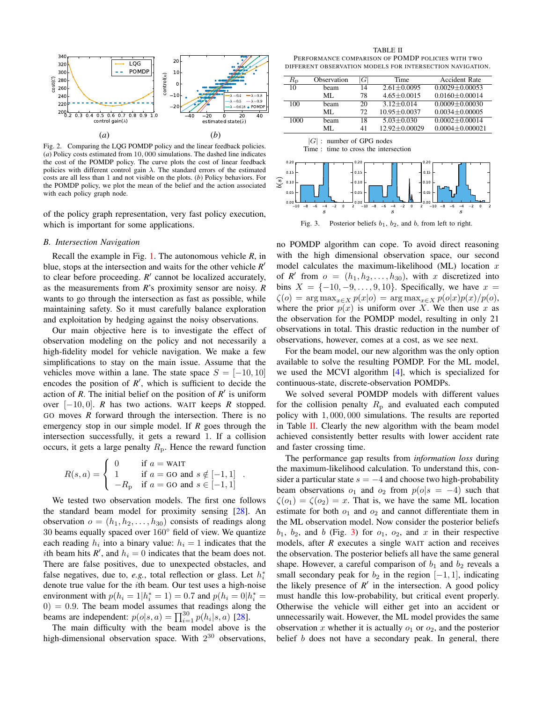

<span id="page-4-1"></span>Fig. 2. Comparing the LQG POMDP policy and the linear feedback policies. (*a*) Policy costs estimated from 10, 000 simulations. The dashed line indicates the cost of the POMDP policy. The curve plots the cost of linear feedback policies with different control gain  $\lambda$ . The standard errors of the estimated costs are all less than 1 and not visible on the plots. (*b*) Policy behaviors. For the POMDP policy, we plot the mean of the belief and the action associated with each policy graph node.

of the policy graph representation, very fast policy execution, which is important for some applications.

## <span id="page-4-0"></span>*B. Intersection Navigation*

Recall the example in Fig. [1.](#page-0-0) The autonomous vehicle *R*, in blue, stops at the intersection and waits for the other vehicle  $R'$ to clear before proceeding.  $R'$  cannot be localized accurately, as the measurements from *R*'s proximity sensor are noisy. *R* wants to go through the intersection as fast as possible, while maintaining safety. So it must carefully balance exploration and exploitation by hedging against the noisy observations.

Our main objective here is to investigate the effect of observation modeling on the policy and not necessarily a high-fidelity model for vehicle navigation. We make a few simplifications to stay on the main issue. Assume that the vehicles move within a lane. The state space  $S = [-10, 10]$ encodes the position of  $R'$ , which is sufficient to decide the action of *R*. The initial belief on the position of  $R'$  is uniform over [−10, 0]. *R* has two actions. WAIT keeps *R* stopped. GO moves *R* forward through the intersection. There is no emergency stop in our simple model. If *R* goes through the intersection successfully, it gets a reward 1. If a collision occurs, it gets a large penalty  $R_p$ . Hence the reward function

$$
R(s, a) = \begin{cases} 0 & \text{if } a = \text{WAIT} \\ 1 & \text{if } a = \text{GO and } s \notin [-1, 1] \\ -R_{\text{p}} & \text{if } a = \text{GO and } s \in [-1, 1] \end{cases}
$$

.

We tested two observation models. The first one follows the standard beam model for proximity sensing [\[28\]](#page-7-6). An observation  $o = (h_1, h_2, \ldots, h_{30})$  consists of readings along 30 beams equally spaced over 160◦ field of view. We quantize each reading  $h_i$  into a binary value:  $h_i = 1$  indicates that the *i*th beam hits  $R'$ , and  $h_i = 0$  indicates that the beam does not. There are false positives, due to unexpected obstacles, and false negatives, due to,  $e.g.,$  total reflection or glass. Let  $h_i^*$ denote true value for the ith beam. Our test uses a high-noise environment with  $p(h_i = 1 | h_i^* = 1) = 0.7$  and  $p(h_i = 0 | h_i^* = 1)$  $0) = 0.9$ . The beam model assumes that readings along the beams are independent:  $p(o|s, a) = \prod_{i=1}^{30} p(h_i|s, a)$  [\[28\]](#page-7-6).

The main difficulty with the beam model above is the high-dimensional observation space. With  $2^{30}$  observations,

<span id="page-4-2"></span>TABLE II PERFORMANCE COMPARISON OF POMDP POLICIES WITH TWO DIFFERENT OBSERVATION MODELS FOR INTERSECTION NAVIGATION.

|      | $\bar{R}_{\rm p}$                                     | Observation                                            | G                                                                      | Time                                                                                                                             | <b>Accident Rate</b>                                    |
|------|-------------------------------------------------------|--------------------------------------------------------|------------------------------------------------------------------------|----------------------------------------------------------------------------------------------------------------------------------|---------------------------------------------------------|
|      | 10                                                    | beam                                                   | 14                                                                     | $2.61 \pm 0.0095$                                                                                                                | $0.0029 + 0.00053$                                      |
|      |                                                       | ML                                                     | 78                                                                     | $4.65 + 0.0015$                                                                                                                  | $0.0160 + 0.00014$                                      |
|      | 100                                                   | beam                                                   | 20                                                                     | $3.12 \pm 0.014$                                                                                                                 | $0.0009 + 0.00030$                                      |
|      |                                                       | МL                                                     | 72                                                                     | 10.95±0.0037                                                                                                                     | $0.0034 \pm 0.00005$                                    |
|      | 1000                                                  | beam                                                   | 18                                                                     | $5.03 + 0.030$                                                                                                                   | $0.0002 + 0.00014$                                      |
|      |                                                       | МL                                                     | 41                                                                     | 12.92±0.00029                                                                                                                    | $0.0004 \pm 0.000021$                                   |
| b(s) | 0.20<br>0.15<br>0.10<br>0.05<br>0.00<br>$-8$<br>$-10$ | Time :<br>$-6$<br>$-2$<br>$\Omega$<br>$\boldsymbol{s}$ | 0.20<br>0.15<br>0.10<br>0.05<br>0.00<br>$-8$<br>$\mathcal{P}$<br>$-10$ | time to cross the intersection<br>0.20<br>0.15<br>0.10<br>0.05<br>0.00<br>$-6$<br>$-2$<br>$\Omega$<br>$\mathcal{P}$<br>$-4$<br>s | $-10$<br>$-8$<br>$\Omega$<br>$-2$<br>$\mathcal{P}$<br>s |
|      |                                                       | Fig. 3.                                                |                                                                        | Posterior beliefs $b_1$ , $b_2$ , and b, from left to right.                                                                     |                                                         |

<span id="page-4-3"></span>no POMDP algorithm can cope. To avoid direct reasoning with the high dimensional observation space, our second model calculates the maximum-likelihood (ML) location  $x$ of *R'* from  $o = (h_1, h_2, \ldots, h_{30})$ , with x discretized into bins  $X = \{-10, -9, \ldots, 9, 10\}$ . Specifically, we have  $x =$  $\zeta(o) = \arg \max_{x \in X} p(x|o) = \arg \max_{x \in X} p(o|x)p(x)/p(o),$ where the prior  $p(x)$  is uniform over X. We then use x as the observation for the POMDP model, resulting in only 21 observations in total. This drastic reduction in the number of observations, however, comes at a cost, as we see next.

For the beam model, our new algorithm was the only option available to solve the resulting POMDP. For the ML model, we used the MCVI algorithm [\[4\]](#page-7-12), which is specialized for continuous-state, discrete-observation POMDPs.

We solved several POMDP models with different values for the collision penalty  $R<sub>p</sub>$  and evaluated each computed policy with 1, 000, 000 simulations. The results are reported in Table [II.](#page-4-2) Clearly the new algorithm with the beam model achieved consistently better results with lower accident rate and faster crossing time.

The performance gap results from *information loss* during the maximum-likelihood calculation. To understand this, consider a particular state  $s = -4$  and choose two high-probability beam observations  $o_1$  and  $o_2$  from  $p(o|s = -4)$  such that  $\zeta(o_1) = \zeta(o_2) = x$ . That is, we have the same ML location estimate for both  $o_1$  and  $o_2$  and cannot differentiate them in the ML observation model. Now consider the posterior beliefs  $b_1$ ,  $b_2$ , and b (Fig. [3\)](#page-4-3) for  $o_1$ ,  $o_2$ , and x in their respective models, after *R* executes a single WAIT action and receives the observation. The posterior beliefs all have the same general shape. However, a careful comparison of  $b_1$  and  $b_2$  reveals a small secondary peak for  $b_2$  in the region  $[-1, 1]$ , indicating the likely presence of  $R'$  in the intersection. A good policy must handle this low-probability, but critical event properly. Otherwise the vehicle will either get into an accident or unnecessarily wait. However, the ML model provides the same observation x whether it is actually  $o_1$  or  $o_2$ , and the posterior belief *b* does not have a secondary peak. In general, there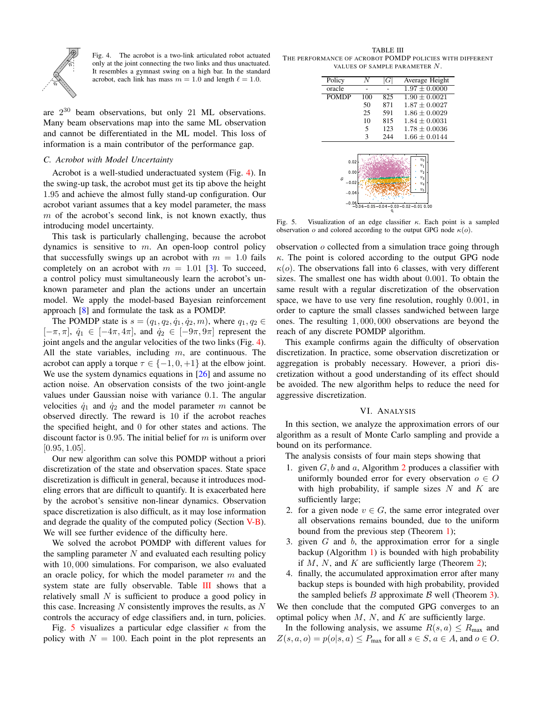

<span id="page-5-1"></span>Fig. 4. The acrobot is a two-link articulated robot actuated only at the joint connecting the two links and thus unactuated. It resembles a gymnast swing on a high bar. In the standard acrobot, each link has mass  $m = 1.0$  and length  $\ell = 1.0$ .

are  $2^{30}$  beam observations, but only 21 ML observations. Many beam observations map into the same ML observation and cannot be differentiated in the ML model. This loss of information is a main contributor of the performance gap.

# *C. Acrobot with Model Uncertainty*

Acrobot is a well-studied underactuated system (Fig. [4\)](#page-5-1). In the swing-up task, the acrobot must get its tip above the height 1.95 and achieve the almost fully stand-up configuration. Our acrobot variant assumes that a key model parameter, the mass  $m$  of the acrobot's second link, is not known exactly, thus introducing model uncertainty.

This task is particularly challenging, because the acrobot dynamics is sensitive to  $m$ . An open-loop control policy that successfully swings up an acrobot with  $m = 1.0$  fails completely on an acrobot with  $m = 1.01$  [\[3\]](#page-7-28). To succeed, a control policy must simultaneously learn the acrobot's unknown parameter and plan the actions under an uncertain model. We apply the model-based Bayesian reinforcement approach [\[8\]](#page-7-7) and formulate the task as a POMDP.

The POMDP state is  $s = (q_1, q_2, \dot{q}_1, \dot{q}_2, m)$ , where  $q_1, q_2 \in$  $[-\pi, \pi], \dot{q}_1 \in [-4\pi, 4\pi],$  and  $\dot{q}_2 \in [-9\pi, 9\pi]$  represent the joint angels and the angular velocities of the two links (Fig. [4\)](#page-5-1). All the state variables, including  $m$ , are continuous. The acrobot can apply a torque  $\tau \in \{-1, 0, +1\}$  at the elbow joint. We use the system dynamics equations in [\[26\]](#page-7-29) and assume no action noise. An observation consists of the two joint-angle values under Gaussian noise with variance 0.1. The angular velocities  $\dot{q}_1$  and  $\dot{q}_2$  and the model parameter m cannot be observed directly. The reward is 10 if the acrobot reaches the specified height, and 0 for other states and actions. The discount factor is 0.95. The initial belief for  $m$  is uniform over  $[0.95, 1.05]$ .

Our new algorithm can solve this POMDP without a priori discretization of the state and observation spaces. State space discretization is difficult in general, because it introduces modeling errors that are difficult to quantify. It is exacerbated here by the acrobot's sensitive non-linear dynamics. Observation space discretization is also difficult, as it may lose information and degrade the quality of the computed policy (Section [V-B\)](#page-4-0). We will see further evidence of the difficulty here.

We solved the acrobot POMDP with different values for the sampling parameter  $N$  and evaluated each resulting policy with 10, 000 simulations. For comparison, we also evaluated an oracle policy, for which the model parameter  $m$  and the system state are fully observable. Table [III](#page-5-2) shows that a relatively small  $N$  is sufficient to produce a good policy in this case. Increasing  $N$  consistently improves the results, as  $N$ controls the accuracy of edge classifiers and, in turn, policies.

Fig. [5](#page-5-3) visualizes a particular edge classifier  $\kappa$  from the policy with  $N = 100$ . Each point in the plot represents an

<span id="page-5-2"></span>TABLE III THE PERFORMANCE OF ACROBOT POMDP POLICIES WITH DIFFERENT VALUES OF SAMPLE PARAMETER N.

| Policy       | N   | G   | Average Height              |
|--------------|-----|-----|-----------------------------|
| oracle       |     |     | $1.97 \pm 0.0000$           |
| <b>POMDP</b> | 100 | 825 | $1.90 + 0.0021$             |
|              | 50  | 871 | $1.87 + 0.0027$             |
|              | 25  | 591 | $1.86 + 0.0029$             |
|              | 10  | 815 | $1.84 + 0.0031$             |
|              | 5   | 123 | $1.78 \pm 0.0036$           |
|              | 3   | 244 | $1.66 \pm 0.0144$           |
|              |     |     |                             |
|              |     |     |                             |
| 0.02         |     |     | $v_{0}$<br>$\overline{v}_1$ |
| 0.00         |     |     | v <sub>2</sub>              |
| S,           |     |     | $v_{2}$                     |
| $-0.02$      |     |     | $v_4$                       |
| $-0.04$      |     |     | $v_{\scriptscriptstyle 5}$  |
|              |     |     |                             |

<span id="page-5-3"></span> $0.06 - 0.05 - 0.04 - 0.03 - 0.02 - 0.01$  0.00

Fig. 5. Visualization of an edge classifier  $\kappa$ . Each point is a sampled observation o and colored according to the output GPG node  $\kappa(o)$ .

observation o collected from a simulation trace going through  $\kappa$ . The point is colored according to the output GPG node  $\kappa(o)$ . The observations fall into 6 classes, with very different sizes. The smallest one has width about 0.001. To obtain the same result with a regular discretization of the observation space, we have to use very fine resolution, roughly 0.001, in order to capture the small classes sandwiched between large ones. The resulting 1, 000, 000 observations are beyond the reach of any discrete POMDP algorithm.

This example confirms again the difficulty of observation discretization. In practice, some observation discretization or aggregation is probably necessary. However, a priori discretization without a good understanding of its effect should be avoided. The new algorithm helps to reduce the need for aggressive discretization.

# VI. ANALYSIS

<span id="page-5-0"></span>In this section, we analyze the approximation errors of our algorithm as a result of Monte Carlo sampling and provide a bound on its performance.

The analysis consists of four main steps showing that

- 1. given  $G, b$  and  $a$ , Algorithm [2](#page-2-2) produces a classifier with uniformly bounded error for every observation  $o \in O$ with high probability, if sample sizes  $N$  and  $K$  are sufficiently large;
- 2. for a given node  $v \in G$ , the same error integrated over all observations remains bounded, due to the uniform bound from the previous step (Theorem [1\)](#page-6-0);
- 3. given  $G$  and  $b$ , the approximation error for a single backup (Algorithm [1\)](#page-2-1) is bounded with high probability if  $M$ ,  $N$ , and  $K$  are sufficiently large (Theorem [2\)](#page-6-1);
- 4. finally, the accumulated approximation error after many backup steps is bounded with high probability, provided the sampled beliefs  $B$  approximate  $B$  well (Theorem [3\)](#page-7-30).

We then conclude that the computed GPG converges to an optimal policy when  $M$ ,  $N$ , and  $K$  are sufficiently large.

In the following analysis, we assume  $R(s, a) \le R_{\text{max}}$  and  $Z(s, a, o) = p(o|s, a) \le P_{\text{max}}$  for all  $s \in S$ ,  $a \in A$ , and  $o \in O$ .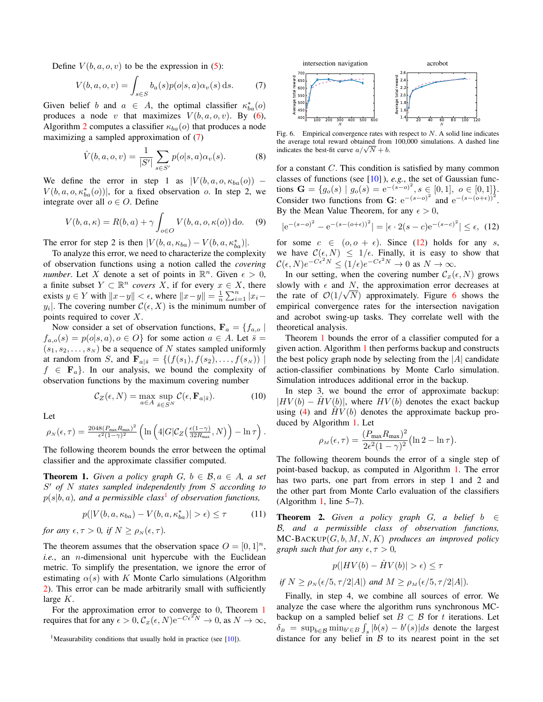Define  $V(b, a, o, v)$  to be the expression in [\(5\)](#page-2-4):

$$
V(b, a, o, v) = \int_{s \in S} b_a(s) p(o|s, a) \alpha_v(s) ds.
$$
 (7)

Given belief b and  $a \in A$ , the optimal classifier  $\kappa_{ba}^*(o)$ produces a node v that maximizes  $V(b, a, o, v)$ . By [\(6\)](#page-3-1), Algorithm [2](#page-2-2) computes a classifier  $\kappa_{ba}(o)$  that produces a node maximizing a sampled approximation of [\(7\)](#page-6-2)

$$
\hat{V}(b, a, o, v) = \frac{1}{|S'|} \sum_{s \in S'} p(o|s, a) \alpha_v(s).
$$
 (8)

We define the error in step 1 as  $|V(b, a, o, \kappa_{ba}(o))|$  –  $V(b, a, o, \kappa_{ba}^*(o))$ , for a fixed observation o. In step 2, we integrate over all  $o \in O$ . Define

$$
V(b, a, \kappa) = R(b, a) + \gamma \int_{o \in O} V(b, a, o, \kappa(o)) \, do. \tag{9}
$$

The error for step 2 is then  $|V(b, a, \kappa_{ba}) - V(b, a, \kappa_{ba}^*)|$ .

To analyze this error, we need to characterize the complexity of observation functions using a notion called the *covering number*. Let X denote a set of points in  $\mathbb{R}^n$ . Given  $\epsilon > 0$ , a finite subset  $Y \subset \mathbb{R}^n$  *covers*  $\overline{X}$ , if for every  $x \in X$ , there exists  $y \in Y$  with  $||x-y|| < \epsilon$ , where  $||x-y|| = \frac{1}{n} \sum_{i=1}^{n} |x_i - y||$  $y_i$ . The covering number  $\mathcal{C}(\epsilon, X)$  is the minimum number of points required to cover X.

Now consider a set of observation functions,  $\mathbf{F}_a = \{f_{a,o} | \}$  $f_{a,o}(s) = p(o|s,a), o \in O$  for some action  $a \in A$ . Let  $\overline{s} =$  $(s_1, s_2, \ldots, s_N)$  be a sequence of N states sampled uniformly at random from S, and  $\mathbf{F}_{a|\bar{s}} = \{ (f(s_1), f(s_2), \dots, f(s_N)) |$  $f \in \mathbf{F}_a$ . In our analysis, we bound the complexity of observation functions by the maximum covering number

$$
C_Z(\epsilon, N) = \max_{a \in A} \sup_{\bar{s} \in S^N} C(\epsilon, \mathbf{F}_{a|\bar{s}}). \tag{10}
$$

Let

$$
\rho_N(\epsilon,\tau) = \frac{2048(P_{\text{max}}R_{\text{max}})^2}{\epsilon^2(1-\gamma)^2} \left( \ln \left( 4|G|\mathcal{C}_Z\left(\frac{\epsilon(1-\gamma)}{32R_{\text{max}}},N\right) \right) - \ln \tau \right).
$$

The following theorem bounds the error between the optimal classifier and the approximate classifier computed.

<span id="page-6-0"></span>**Theorem 1.** *Given a policy graph*  $G, b \in \mathcal{B}, a \in A$ *, a set* S <sup>0</sup> *of* N *states sampled independently from* S *according to*  $p(s|b, a)$ , and a permissible class<sup>[1](#page-6-3)</sup> of observation functions,

$$
p(|V(b, a, \kappa_{ba}) - V(b, a, \kappa_{ba}^*)| > \epsilon) \le \tau \tag{11}
$$

*for any*  $\epsilon, \tau > 0$ *, if*  $N \geq \rho_N(\epsilon, \tau)$ *.* 

The theorem assumes that the observation space  $O = [0, 1]^n$ , *i.e.*, an *n*-dimensional unit hypercube with the Euclidean metric. To simplify the presentation, we ignore the error of estimating  $\alpha(s)$  with K Monte Carlo simulations (Algorithm [2\)](#page-2-2). This error can be made arbitrarily small with sufficiently large  $K$ .

For the approximation error to converge to 0, Theorem [1](#page-6-0) requires that for any  $\epsilon > 0$ ,  $C_z(\epsilon, N) e^{-C\epsilon^2 N} \to 0$ , as  $N \to \infty$ ,

<span id="page-6-5"></span><span id="page-6-2"></span>

Fig. 6. Empirical convergence rates with respect to  $N$ . A solid line indicates the average total reward obtained from 100,000 simulations. A dashed line the average total reward obtained from<br>indicates the best-fit curve  $a/\sqrt{N} + b$ .

for a constant  $C$ . This condition is satisfied by many common classes of functions (see [\[10\]](#page-7-31) ), *e.g.*, the set of Gaussian functions  $\mathbf{G} = \{g_o(s) | g_o(s) = e^{-(s-o)^2}, s \in [0,1], o \in [0,1] \}.$ Consider two functions from G:  $e^{-(s-o)^2}$  and  $e^{-(s-(o+\epsilon))^2}$ . By the Mean Value Theorem, for any  $\epsilon > 0$ ,

<span id="page-6-4"></span>
$$
|e^{-(s-o)^2} - e^{-(s-(o+\epsilon))^2}| = |\epsilon \cdot 2(s-c)e^{-(s-c)^2}| \le \epsilon, \tag{12}
$$

for some  $c \in (0, 0 + \epsilon)$ . Since [\(12\)](#page-6-4) holds for any s, we have  $\mathcal{C}(\epsilon, N) \leq 1/\epsilon$ . Finally, it is easy to show that  $\mathcal{C}(\epsilon, N) e^{-C\epsilon^2 N} \le (1/\epsilon) e^{-C\epsilon^2 N} \to 0 \text{ as } N \to \infty.$ 

In our setting, when the covering number  $\mathcal{C}_z(\epsilon, N)$  grows slowly with  $\epsilon$  and  $N$ , the approximation error decreases at the rate of  $\mathcal{O}(1/\sqrt{N})$  approximately. Figure [6](#page-6-5) shows the empirical convergence rates for the intersection navigation and acrobot swing-up tasks. They correlate well with the theoretical analysis.

Theorem [1](#page-6-0) bounds the error of a classifier computed for a given action. Algorithm [1](#page-2-1) then performs backup and constructs the best policy graph node by selecting from the  $|A|$  candidate action-classifier combinations by Monte Carlo simulation. Simulation introduces additional error in the backup.

In step 3, we bound the error of approximate backup:  $|HV(b) -HV(b)|$ , where  $HV(b)$  denotes the exact backup using [\(4\)](#page-2-0) and  $\hat{H}V(b)$  denotes the approximate backup produced by Algorithm [1.](#page-2-1) Let

$$
\rho_M(\epsilon,\tau) = \frac{(P_{\text{max}}R_{\text{max}})^2}{2\epsilon^2(1-\gamma)^2} (\ln 2 - \ln \tau).
$$

The following theorem bounds the error of a single step of point-based backup, as computed in Algorithm [1.](#page-2-1) The error has two parts, one part from errors in step 1 and 2 and the other part from Monte Carlo evaluation of the classifiers (Algorithm [1,](#page-2-1) line 5–7).

<span id="page-6-1"></span>**Theorem 2.** Given a policy graph G, a belief  $b \in$ B*, and a permissible class of observation functions,* MC-BACKUP(G, b, M, N, K) *produces an improved policy graph such that for any*  $\epsilon, \tau > 0$ *,* 

$$
p(|HV(b) - \hat{H}V(b)| > \epsilon) \le \tau
$$

*if*  $N \ge \rho_N(\epsilon/5, \tau/2|A|)$  *and*  $M \ge \rho_M(\epsilon/5, \tau/2|A|)$ *.* 

Finally, in step 4, we combine all sources of error. We analyze the case where the algorithm runs synchronous MCbackup on a sampled belief set  $B \subset B$  for t iterations. Let  $\delta_B = \sup_{b \in \mathcal{B}} \min_{b' \in B} \int_s |b(s) - b'(s)| ds$  denote the largest distance for any belief in  $\beta$  to its nearest point in the set

<span id="page-6-3"></span><sup>&</sup>lt;sup>1</sup>Measurability conditions that usually hold in practice (see [\[10\]](#page-7-31)).